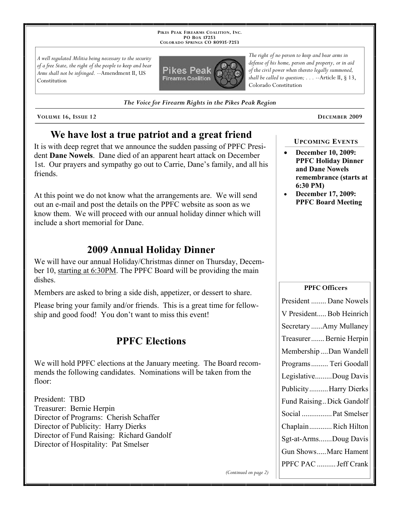**PIKES PEAK FIREARMS COALITION, INC. PO BOX 17253 COLORADO SPRINGS CO 80935 -7253**

*A well regulated Militia being necessary to the security of a free State, the right of the people to keep and bear Arms shall not be infringed.* --Amendment II, US Constitution



*The Voice for Firearm Rights in the Pikes Peak Region*

**VOLUME 16, ISSUE 12 DECEMBER 2009**

# **We have lost a true patriot and a great friend**

It is with deep regret that we announce the sudden passing of PPFC President **Dane Nowels**. Dane died of an apparent heart attack on December 1st. Our prayers and sympathy go out to Carrie, Dane's family, and all his friends.

At this point we do not know what the arrangements are. We will send out an e-mail and post the details on the PPFC website as soon as we know them. We will proceed with our annual holiday dinner which will include a short memorial for Dane.

# **2009 Annual Holiday Dinner**

We will have our annual Holiday/Christmas dinner on Thursday, December 10, starting at 6:30PM. The PPFC Board will be providing the main dishes.

Members are asked to bring a side dish, appetizer, or dessert to share.

Please bring your family and/or friends. This is a great time for fellowship and good food! You don't want to miss this event!

## **PPFC Elections**

We will hold PPFC elections at the January meeting. The Board recommends the following candidates. Nominations will be taken from the floor:

President: TBD Treasurer: Bernie Herpin Director of Programs: Cherish Schaffer Director of Publicity: Harry Dierks Director of Fund Raising: Richard Gandolf Director of Hospitality: Pat Smelser

*The right of no person to keep and bear arms in defense of his home, person and property, or in aid of the civil power when thereto legally summoned, shall be called to question; . . .* --Article II, § 13, Colorado Constitution

### **UPCOMING EVENTS**

- **December 10, 2009: PPFC Holiday Dinner and Dane Nowels remembrance (starts at 6:30 PM)**
- **December 17, 2009: PPFC Board Meeting**

#### **PPFC Officers**

| President  Dane Nowels    |
|---------------------------|
| V President Bob Heinrich  |
| Secretary Amy Mullaney    |
| Treasurer Bernie Herpin   |
| Membership Dan Wandell    |
| Programs  Teri Goodall    |
| LegislativeDoug Davis     |
| PublicityHarry Dierks     |
| Fund Raising Dick Gandolf |
| Social  Pat Smelser       |
| ChaplainRich Hilton       |
| Sgt-at-ArmsDoug Davis     |
| Gun ShowsMarc Hament      |
| PPFC PAC  Jeff Crank      |
|                           |

*(Continued on page 2)*